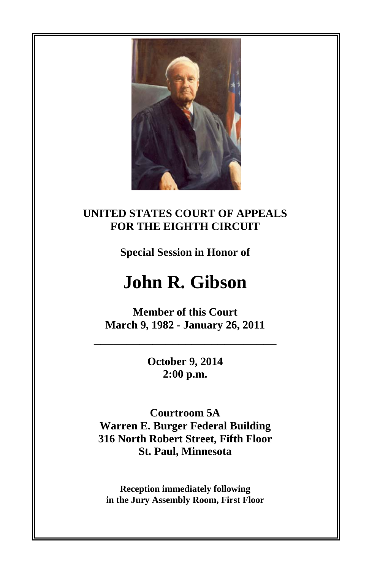

## **UNITED STATES COURT OF APPEALS FOR THE EIGHTH CIRCUIT**

**Special Session in Honor of** 

# **John R. Gibson**

**Member of this Court March 9, 1982 - January 26, 2011** 

**\_\_\_\_\_\_\_\_\_\_\_\_\_\_\_\_\_\_\_\_\_\_\_\_\_\_\_\_**

**October 9, 2014 2:00 p.m.** 

**Courtroom 5A Warren E. Burger Federal Building 316 North Robert Street, Fifth Floor St. Paul, Minnesota** 

**Reception immediately following in the Jury Assembly Room, First Floor**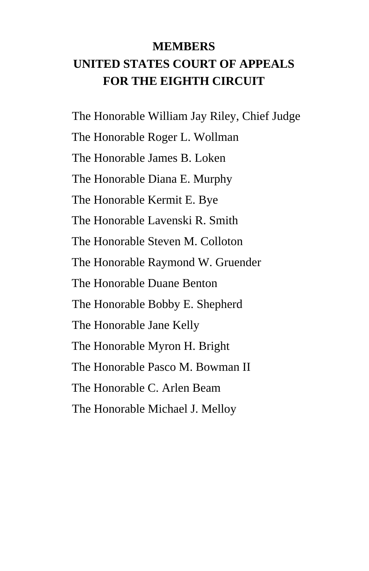# **MEMBERS UNITED STATES COURT OF APPEALS FOR THE EIGHTH CIRCUIT**

 The Honorable William Jay Riley, Chief Judge The Honorable Roger L. Wollman The Honorable James B. Loken The Honorable Diana E. Murphy The Honorable Kermit E. Bye The Honorable Lavenski R. Smith The Honorable Steven M. Colloton The Honorable Raymond W. Gruender The Honorable Duane Benton The Honorable Bobby E. Shepherd The Honorable Jane Kelly The Honorable Myron H. Bright The Honorable Pasco M. Bowman II The Honorable C. Arlen Beam The Honorable Michael J. Melloy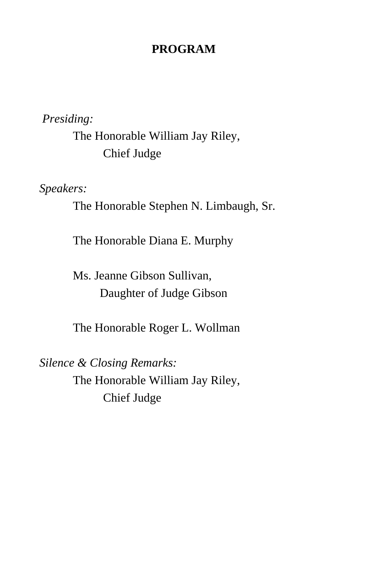#### **PROGRAM**

*Presiding:* 

 The Honorable William Jay Riley, Chief Judge

*Speakers:* 

The Honorable Stephen N. Limbaugh, Sr.

The Honorable Diana E. Murphy

 Ms. Jeanne Gibson Sullivan, Daughter of Judge Gibson

The Honorable Roger L. Wollman

*Silence & Closing Remarks:*  The Honorable William Jay Riley, Chief Judge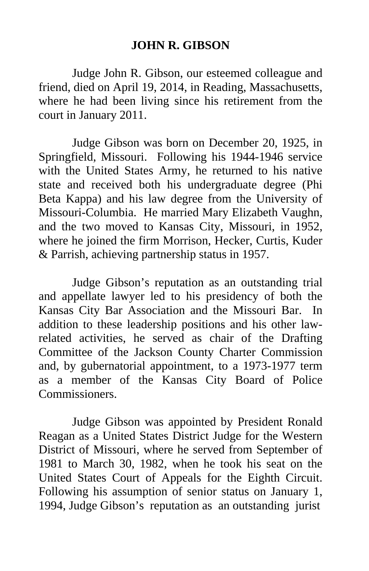## **JOHN R. GIBSON**

 Judge John R. Gibson, our esteemed colleague and friend, died on April 19, 2014, in Reading, Massachusetts, where he had been living since his retirement from the court in January 2011.

 Judge Gibson was born on December 20, 1925, in Springfield, Missouri. Following his 1944-1946 service with the United States Army, he returned to his native state and received both his undergraduate degree (Phi Beta Kappa) and his law degree from the University of Missouri-Columbia. He married Mary Elizabeth Vaughn, and the two moved to Kansas City, Missouri, in 1952, where he joined the firm Morrison, Hecker, Curtis, Kuder & Parrish, achieving partnership status in 1957.

 Judge Gibson's reputation as an outstanding trial and appellate lawyer led to his presidency of both the Kansas City Bar Association and the Missouri Bar. In addition to these leadership positions and his other lawrelated activities, he served as chair of the Drafting Committee of the Jackson County Charter Commission and, by gubernatorial appointment, to a 1973-1977 term as a member of the Kansas City Board of Police Commissioners.

 Judge Gibson was appointed by President Ronald Reagan as a United States District Judge for the Western District of Missouri, where he served from September of 1981 to March 30, 1982, when he took his seat on the United States Court of Appeals for the Eighth Circuit. Following his assumption of senior status on January 1, 1994, Judge Gibson's reputation as an outstanding jurist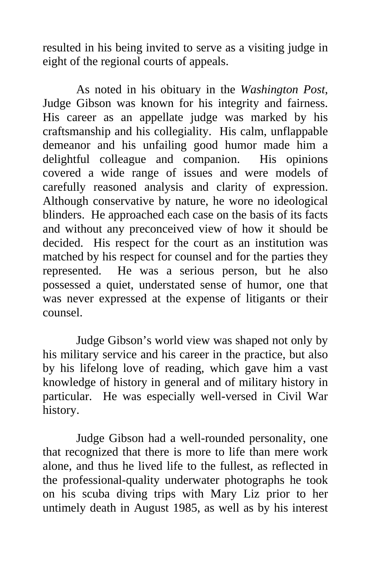resulted in his being invited to serve as a visiting judge in eight of the regional courts of appeals.

 As noted in his obituary in the *Washington Post*, Judge Gibson was known for his integrity and fairness. His career as an appellate judge was marked by his craftsmanship and his collegiality. His calm, unflappable demeanor and his unfailing good humor made him a delightful colleague and companion. His opinions covered a wide range of issues and were models of carefully reasoned analysis and clarity of expression. Although conservative by nature, he wore no ideological blinders. He approached each case on the basis of its facts and without any preconceived view of how it should be decided. His respect for the court as an institution was matched by his respect for counsel and for the parties they represented. He was a serious person, but he also possessed a quiet, understated sense of humor, one that was never expressed at the expense of litigants or their counsel.

 Judge Gibson's world view was shaped not only by his military service and his career in the practice, but also by his lifelong love of reading, which gave him a vast knowledge of history in general and of military history in particular. He was especially well-versed in Civil War history.

 Judge Gibson had a well-rounded personality, one that recognized that there is more to life than mere work alone, and thus he lived life to the fullest, as reflected in the professional-quality underwater photographs he took on his scuba diving trips with Mary Liz prior to her untimely death in August 1985, as well as by his interest